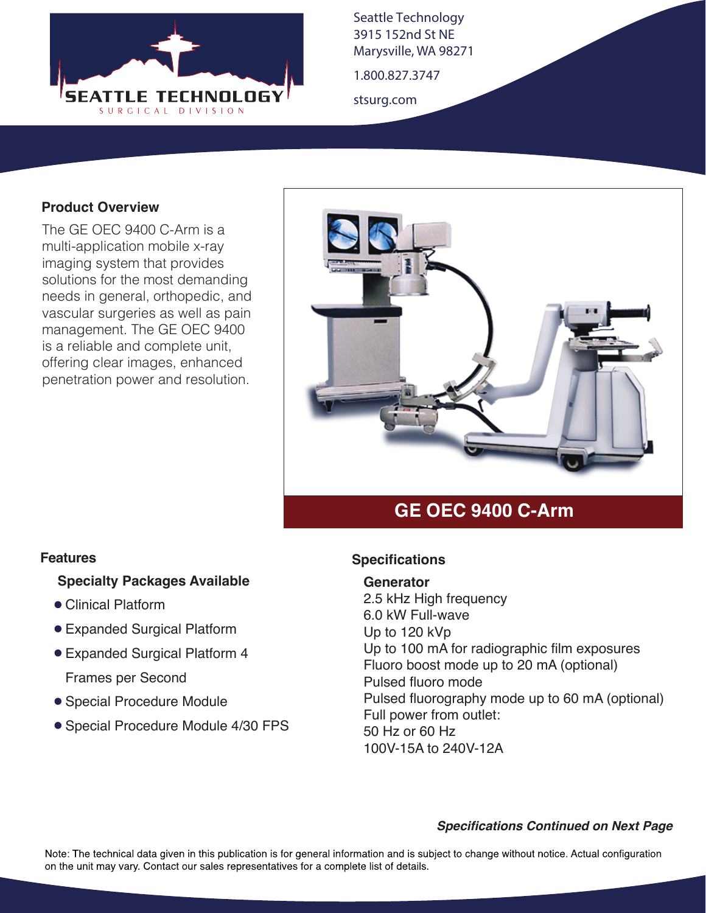

Seattle Technology 3915 152nd St NE Marysville, WA 98271

1.800.827.3747

stsurg.com

### **Product Overview**

The GE OEC 9400 C-Arm is a multi-application mobile x-ray imaging system that provides solutions for the most demanding needs in general, orthopedic, and vascular surgeries as well as pain management. The GE OEC 9400 is a reliable and complete unit, offering clear images, enhanced penetration power and resolution.



# **GE OEC 9400 C-Arm**

#### **Features**

### **Specialty Packages Available**

- Clinical Platform
- Expanded Surgical Platform
- Expanded Surgical Platform 4

Frames per Second

- Special Procedure Module
- Special Procedure Module 4/30 FPS

### **Specifications**

#### **Generator**

2.5 kHz High frequency 6.0 kW Full-wave Up to 120 kVp Up to 100 mA for radiographic film exposures Fluoro boost mode up to 20 mA (optional) Pulsed fluoro mode Pulsed fluorography mode up to 60 mA (optional) Full power from outlet: 50 Hz or 60 Hz 100V-15A to 240V-12A

#### *Specifications Continued on Next Page*

Note: The technical data given in this publication is for general information and is subject to change without notice. Actual configuration on the unit may vary. Contact our sales representatives for a complete list of details.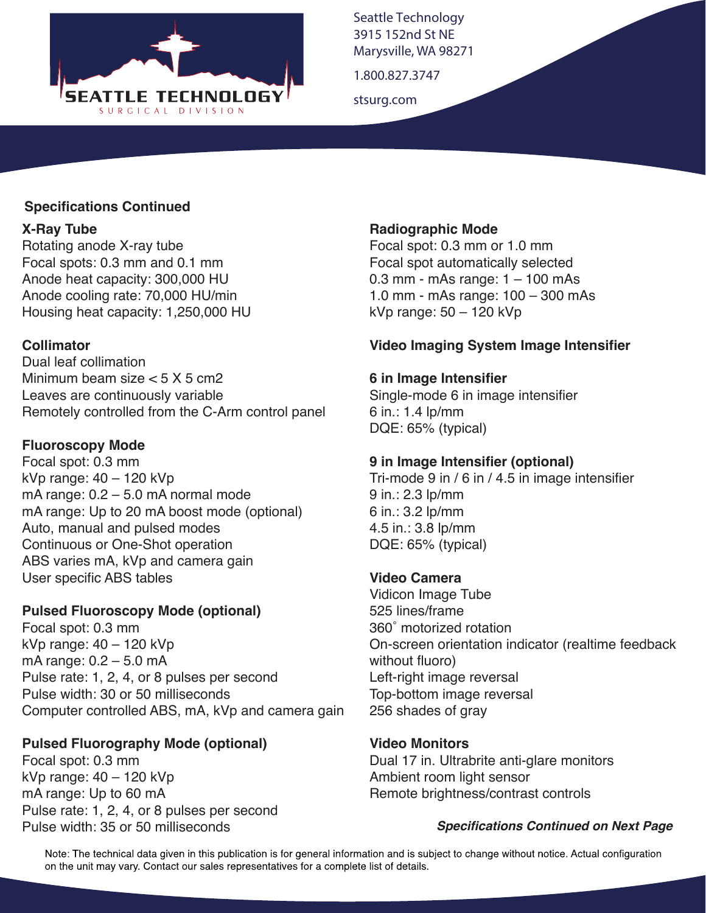

Seattle Technology 3915 152nd St NE Marysville, WA 98271

1.800.827.3747

stsurg.com

### **Specifications Continued**

### **X-Ray Tube**

Rotating anode X-ray tube Focal spots: 0.3 mm and 0.1 mm Anode heat capacity: 300,000 HU Anode cooling rate: 70,000 HU/min Housing heat capacity: 1,250,000 HU

## **Collimator**

Dual leaf collimation Minimum beam size  $< 5 X 5$  cm2 Leaves are continuously variable Remotely controlled from the C-Arm control panel

## **Fluoroscopy Mode**

Focal spot: 0.3 mm kVp range: 40 – 120 kVp mA range: 0.2 – 5.0 mA normal mode mA range: Up to 20 mA boost mode (optional) Auto, manual and pulsed modes Continuous or One-Shot operation ABS varies mA, kVp and camera gain User specific ABS tables

## **Pulsed Fluoroscopy Mode (optional)**

Focal spot: 0.3 mm kVp range: 40 – 120 kVp mA range: 0.2 – 5.0 mA Pulse rate: 1, 2, 4, or 8 pulses per second Pulse width: 30 or 50 milliseconds Computer controlled ABS, mA, kVp and camera gain

## **Pulsed Fluorography Mode (optional)**

Focal spot: 0.3 mm kVp range: 40 – 120 kVp mA range: Up to 60 mA Pulse rate: 1, 2, 4, or 8 pulses per second Pulse width: 35 or 50 milliseconds

### **Radiographic Mode**

Focal spot: 0.3 mm or 1.0 mm Focal spot automatically selected 0.3 mm - mAs range: 1 – 100 mAs 1.0 mm - mAs range: 100 – 300 mAs kVp range: 50 – 120 kVp

## **Video Imaging System Image Intensifier**

## **6 in Image Intensifier**

Single-mode 6 in image intensifier 6 in.: 1.4 lp/mm DQE: 65% (typical)

## **9 in Image Intensifier (optional)**

Tri-mode 9 in / 6 in / 4.5 in image intensifier 9 in.: 2.3 lp/mm 6 in.: 3.2 lp/mm 4.5 in.: 3.8 lp/mm DQE: 65% (typical)

## **Video Camera**

Vidicon Image Tube 525 lines/frame 360˚ motorized rotation On-screen orientation indicator (realtime feedback without fluoro) Left-right image reversal Top-bottom image reversal 256 shades of gray

**Video Monitors**

Dual 17 in. Ultrabrite anti-glare monitors Ambient room light sensor Remote brightness/contrast controls

### *Specifications Continued on Next Page*

Note: The technical data given in this publication is for general information and is subject to change without notice. Actual configuration on the unit may vary. Contact our sales representatives for a complete list of details.